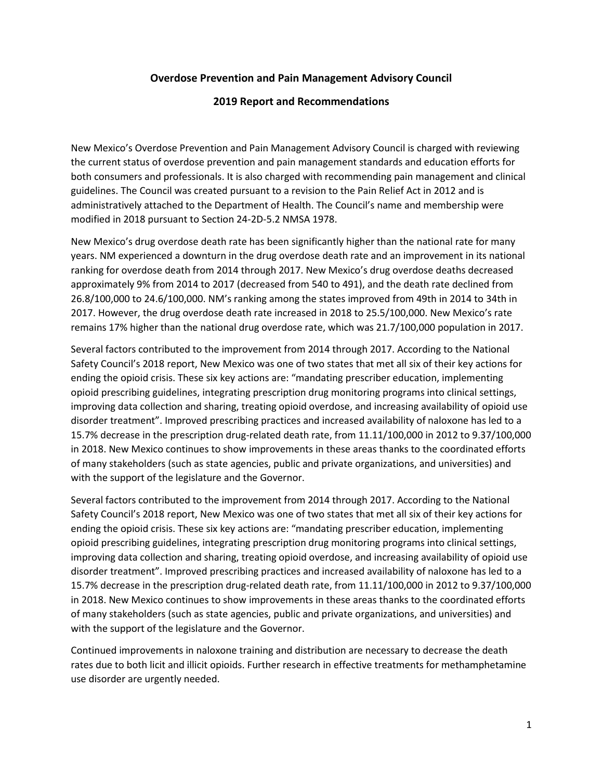## **Overdose Prevention and Pain Management Advisory Council**

## **2019 Report and Recommendations**

New Mexico's Overdose Prevention and Pain Management Advisory Council is charged with reviewing the current status of overdose prevention and pain management standards and education efforts for both consumers and professionals. It is also charged with recommending pain management and clinical guidelines. The Council was created pursuant to a revision to the Pain Relief Act in 2012 and is administratively attached to the Department of Health. The Council's name and membership were modified in 2018 pursuant to Section 24-2D-5.2 NMSA 1978.

New Mexico's drug overdose death rate has been significantly higher than the national rate for many years. NM experienced a downturn in the drug overdose death rate and an improvement in its national ranking for overdose death from 2014 through 2017. New Mexico's drug overdose deaths decreased approximately 9% from 2014 to 2017 (decreased from 540 to 491), and the death rate declined from 26.8/100,000 to 24.6/100,000. NM's ranking among the states improved from 49th in 2014 to 34th in 2017. However, the drug overdose death rate increased in 2018 to 25.5/100,000. New Mexico's rate remains 17% higher than the national drug overdose rate, which was 21.7/100,000 population in 2017.

Several factors contributed to the improvement from 2014 through 2017. According to the National Safety Council's 2018 report, New Mexico was one of two states that met all six of their key actions for ending the opioid crisis. These six key actions are: "mandating prescriber education, implementing opioid prescribing guidelines, integrating prescription drug monitoring programs into clinical settings, improving data collection and sharing, treating opioid overdose, and increasing availability of opioid use disorder treatment". Improved prescribing practices and increased availability of naloxone has led to a 15.7% decrease in the prescription drug-related death rate, from 11.11/100,000 in 2012 to 9.37/100,000 in 2018. New Mexico continues to show improvements in these areas thanks to the coordinated efforts of many stakeholders (such as state agencies, public and private organizations, and universities) and with the support of the legislature and the Governor.

Several factors contributed to the improvement from 2014 through 2017. According to the National Safety Council's 2018 report, New Mexico was one of two states that met all six of their key actions for ending the opioid crisis. These six key actions are: "mandating prescriber education, implementing opioid prescribing guidelines, integrating prescription drug monitoring programs into clinical settings, improving data collection and sharing, treating opioid overdose, and increasing availability of opioid use disorder treatment". Improved prescribing practices and increased availability of naloxone has led to a 15.7% decrease in the prescription drug-related death rate, from 11.11/100,000 in 2012 to 9.37/100,000 in 2018. New Mexico continues to show improvements in these areas thanks to the coordinated efforts of many stakeholders (such as state agencies, public and private organizations, and universities) and with the support of the legislature and the Governor.

Continued improvements in naloxone training and distribution are necessary to decrease the death rates due to both licit and illicit opioids. Further research in effective treatments for methamphetamine use disorder are urgently needed.